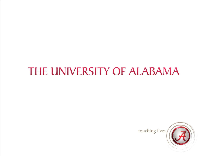### THE UNIVERSITY OF ALABAMA

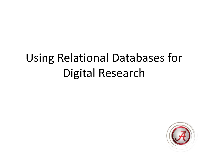# Using Relational Databases for Digital Research

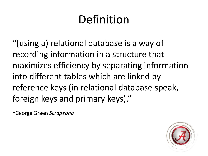# Definition

"(using a) relational database is a way of recording information in a structure that maximizes efficiency by separating information into different tables which are linked by reference keys (in relational database speak, foreign keys and primary keys)."

-George Green *Scrapeana*

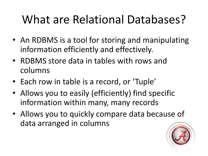# What are Relational Databases?

- An RDBMS is a tool for storing and manipulating information efficiently and effectively.
- RDBMS store data in tables with rows and columns
- Each row in table is a record, or 'Tuple'
- Allows you to easily (efficiently) find specific information within many, many records
- Allows you to quickly compare data because of data arranged in columns

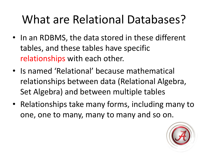# What are Relational Databases?

- In an RDBMS, the data stored in these different tables, and these tables have specific relationships with each other.
- Is named 'Relational' because mathematical relationships between data (Relational Algebra, Set Algebra) and between multiple tables
- Relationships take many forms, including many to one, one to many, many to many and so on.

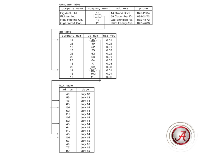company table

| company name     | company num | address          | phone    |
|------------------|-------------|------------------|----------|
| Big deal, Ltd.   | 13          | 14 Grand Blvd.   | 875-2934 |
| Pickles, Inc.    | 14          | 59 Cucumber Dr.  | 884-2472 |
| Real Roofing Co. | 17          | 928 Shingles Rd. | 882-4173 |
| GigaFred & Son   | 23          | 2572 Family Ave. | 847-4738 |

|  | ad table    |        |         |  |  |
|--|-------------|--------|---------|--|--|
|  | company num | ad num | hit fee |  |  |
|  | 14          | 48     | 0.01    |  |  |
|  | 23          | 49     | 0.02    |  |  |
|  | 17          | 52     | 0.01    |  |  |
|  | 13          | 55     | 0.03    |  |  |
|  | 23          | 62     | 0.02    |  |  |
|  | 23          | 63     | 0.01    |  |  |
|  | 23          | 64     | 0.02    |  |  |
|  | 13          | 77     | 0.03    |  |  |
|  | 23          | 99     | 0.03    |  |  |
|  | 14          | 101    | 0.01    |  |  |
|  | 13          | 102    | 0.01    |  |  |
|  | 17          | 119    | 0.02    |  |  |
|  |             |        |         |  |  |

| hit table |     |         |
|-----------|-----|---------|
| ad num    |     | date    |
|           | 49  | July 13 |
|           | 55  | July 13 |
|           | 48  | July 14 |
|           | 63  | July 14 |
|           | 101 | July 14 |
|           | 62  | July 14 |
|           | 119 | July 14 |
|           | 102 | July 14 |
|           | 52  | July 14 |
|           | 48  | July 14 |
|           | 64  | July 14 |
|           | 119 | July 14 |
|           | 48  | July 14 |
|           | 101 | July 14 |
|           | 63  | July 15 |
|           | 49  | July 15 |
|           | 77  | July 15 |
|           | 99  | July 15 |

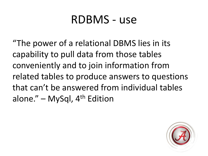### RDBMS - use

"The power of a relational DBMS lies in its capability to pull data from those tables conveniently and to join information from related tables to produce answers to questions that can't be answered from individual tables alone." – MySql,  $4<sup>th</sup>$  Edition

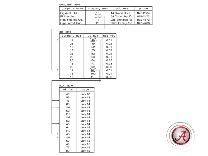company table

| company name     | company num | address          | phone    |
|------------------|-------------|------------------|----------|
| Big deal, Ltd.   | 13          | 14 Grand Blvd.   | 875-2934 |
| Pickles, Inc.    | 14          | 59 Cucumber Dr.  | 884-2472 |
| Real Roofing Co. | 17          | 928 Shingles Rd. | 882-4173 |
| GigaFred & Son   | 23          | 2572 Family Ave. | 847-4738 |

|  | ad table    |        |         |  |  |
|--|-------------|--------|---------|--|--|
|  | company num | ad num | hit fee |  |  |
|  | 14          | 48     | 0.01    |  |  |
|  | 23          | 49     | 0.02    |  |  |
|  | 17          | 52     | 0.01    |  |  |
|  | 13          | 55     | 0.03    |  |  |
|  | 23          | 62     | 0.02    |  |  |
|  | 23          | 63     | 0.01    |  |  |
|  | 23          | 64     | 0.02    |  |  |
|  | 13          | 77     | 0.03    |  |  |
|  | 23          | 99     | 0.03    |  |  |
|  | 14          | 101    | 0.01    |  |  |
|  | 13          | 102    | 0.01    |  |  |
|  | 17          | 119    | 0.02    |  |  |
|  |             |        |         |  |  |

| hit table |     |         |
|-----------|-----|---------|
| ad num    |     | date    |
|           | 49  | July 13 |
|           | 55  | July 13 |
|           | 48  | July 14 |
|           | 63  | July 14 |
|           | 101 | July 14 |
|           | 62  | July 14 |
|           | 119 | July 14 |
|           | 102 | July 14 |
|           | 52  | July 14 |
|           | 48  | July 14 |
|           | 64  | July 14 |
|           | 119 | July 14 |
|           | 48  | July 14 |
|           | 101 | July 14 |
|           | 63  | July 15 |
|           | 49  | July 15 |
|           | 77  | July 15 |
|           | 99  | July 15 |

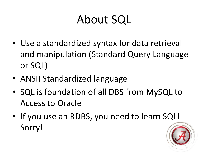# About SQL

- Use a standardized syntax for data retrieval and manipulation (Standard Query Language or SQL)
- ANSII Standardized language
- SQL is foundation of all DBS from MySQL to Access to Oracle
- If you use an RDBS, you need to learn SQL! Sorry!

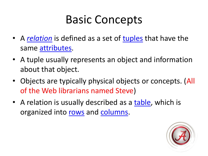## Basic Concepts

- A *[relation](http://en.wikipedia.org/wiki/Relation_(database))* is defined as a set of [tuples](http://en.wikipedia.org/wiki/Tuple) that have the same [attributes](http://en.wikipedia.org/wiki/Attribute_(computing)).
- A tuple usually represents an object and information about that object.
- Objects are typically physical objects or concepts. (All of the Web librarians named Steve)
- A relation is usually described as a [table,](http://en.wikipedia.org/wiki/Table_(database)) which is organized into [rows](http://en.wikipedia.org/wiki/Row_(database)) and [columns.](http://en.wikipedia.org/wiki/Column_(database))

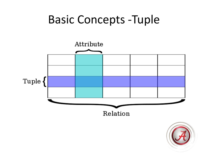### Basic Concepts -Tuple



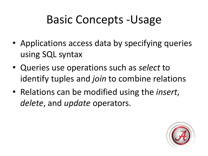## Basic Concepts -Usage

- Applications access data by specifying queries using SQL syntax
- Queries use operations such as *select* to identify tuples and *join* to combine relations
- Relations can be modified using the *insert*, *delete*, and *update* operators.

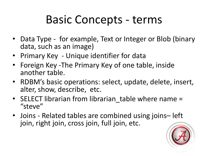### Basic Concepts - terms

- Data Type for example, Text or Integer or Blob (binary data, such as an image)
- Primary Key Unique identifier for data
- Foreign Key -The Primary Key of one table, inside another table.
- RDBM's basic operations: select, update, delete, insert, alter, show, describe, etc.
- SELECT librarian from librarian table where name = "steve"
- Joins Related tables are combined using joins-left join, right join, cross join, full join, etc.

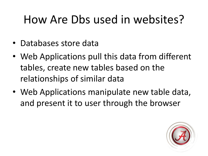# How Are Dbs used in websites?

- Databases store data
- Web Applications pull this data from different tables, create new tables based on the relationships of similar data
- Web Applications manipulate new table data, and present it to user through the browser

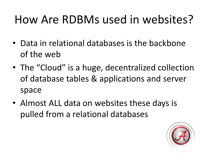## How Are RDBMs used in websites?

- Data in relational databases is the backbone of the web
- The "Cloud" is a huge, decentralized collection of database tables & applications and server space
- Almost ALL data on websites these days is pulled from a relational databases

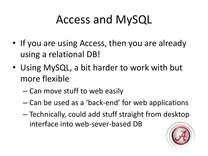# Access and MySQL

- If you are using Access, then you are already using a relational DB!
- Using MySQL, a bit harder to work with but more flexible
	- Can move stuff to web easily
	- Can be used as a 'back-end' for web applications
	- Technically, could add stuff straight from desktop interface into web-sever-based DB

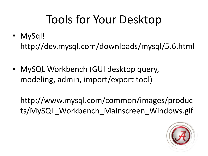# Tools for Your Desktop

- MySql! http://dev.mysql.com/downloads/mysql/5.6.html
- MySQL Workbench (GUI desktop query, modeling, admin, import/export tool)

http://www.mysql.com/common/images/produc ts/MySQL Workbench Mainscreen Windows.gif

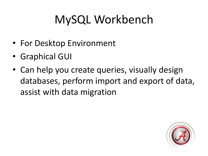# MySQL Workbench

- For Desktop Environment
- Graphical GUI
- Can help you create queries, visually design databases, perform import and export of data, assist with data migration

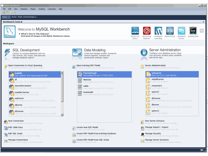### MySOL Workbench

File Edit View Database Plugins Scripting Community Help

### 習 内 回 回

Home X MySQL Model (PartnerDesign.m...

### **Workbench Central**



### Welcome to MySQL Workbench

\* What's New in This Release? Read about all changes in this MySQL Workbench release.

### Workspace



Manage Connections Modify connection settings or add connections.



Data Modeling Create and manage models, forward & reverse engineer, compare and synchronize schemas, report.

### **Deen Existing EER Model**<br>21 Or select a model to open or click here to browse. **Open Existing EER Model**







newmodel Last modified Mon May 24 14:40:22 2010

**Create New EER Model**<br> **D** Create a new EER Model from scratch.

Create EER Model From Existing Database Create by connecting and reverse engineering.

Create EER Model From SQL Script lack Import an existing SQL file.



Library



Workbench

Forums

Scripting Shell



**Manage Security** Manage user accounts and assign privileges.



Manage Server Instances **B** Add. delete and update server instance settings.  $\Box$   $\times$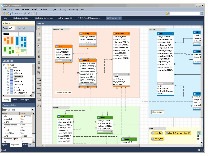

Ready